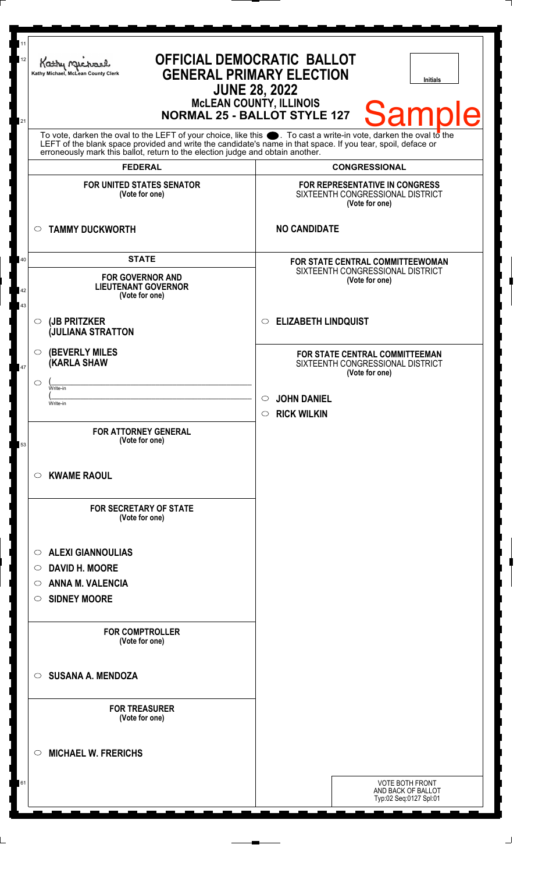| 11<br>12 | OFFICIAL DEMOCRATIC BALLOT<br>Kathy Michael<br><b>GENERAL PRIMARY ELECTION</b><br>Kathy Michael, McLean County Clerk<br><b>Initials</b><br><b>JUNE 28, 2022</b>                                                               |                                                                                      |
|----------|-------------------------------------------------------------------------------------------------------------------------------------------------------------------------------------------------------------------------------|--------------------------------------------------------------------------------------|
| 21       | <b>McLEAN COUNTY, ILLINOIS</b><br><b>Sample</b><br><b>NORMAL 25 - BALLOT STYLE 127</b>                                                                                                                                        |                                                                                      |
|          | To vote, darken the oval to the LEFT of your choice, like this . To cast a write-in vote, darken the oval to the LEFT of the blank space provided and write the candidate's name in that space. If you tear, spoil, deface or |                                                                                      |
|          | <b>FEDERAL</b>                                                                                                                                                                                                                | <b>CONGRESSIONAL</b>                                                                 |
|          | <b>FOR UNITED STATES SENATOR</b><br>(Vote for one)                                                                                                                                                                            | FOR REPRESENTATIVE IN CONGRESS<br>SIXTEENTH CONGRESSIONAL DISTRICT<br>(Vote for one) |
|          | <b>TAMMY DUCKWORTH</b><br>$\circ$                                                                                                                                                                                             | <b>NO CANDIDATE</b>                                                                  |
| 40       | <b>STATE</b>                                                                                                                                                                                                                  | FOR STATE CENTRAL COMMITTEEWOMAN                                                     |
| 42<br>43 | <b>FOR GOVERNOR AND</b><br><b>LIEUTENANT GOVERNOR</b><br>(Vote for one)                                                                                                                                                       | SIXTEENTH CONGRESSIONAL DISTRICT<br>(Vote for one)                                   |
|          | (JB PRITZKER<br>$\circ$<br><b>JULIANA STRATTON</b>                                                                                                                                                                            | <b>ELIZABETH LINDQUIST</b><br>$\circ$                                                |
| 47       | <b>(BEVERLY MILES)</b><br>$\circ$<br>(KARLA SHAW                                                                                                                                                                              | FOR STATE CENTRAL COMMITTEEMAN<br>SIXTEENTH CONGRESSIONAL DISTRICT<br>(Vote for one) |
|          | $\circlearrowright$<br>Write-in                                                                                                                                                                                               |                                                                                      |
|          | Write-in                                                                                                                                                                                                                      | <b>JOHN DANIEL</b>                                                                   |
|          |                                                                                                                                                                                                                               | <b>RICK WILKIN</b><br>$\circ$                                                        |
| 53       | <b>FOR ATTORNEY GENERAL</b><br>(Vote for one)                                                                                                                                                                                 |                                                                                      |
|          | <b>KWAME RAOUL</b><br>$\circ$                                                                                                                                                                                                 |                                                                                      |
|          | <b>FOR SECRETARY OF STATE</b><br>(Vote for one)                                                                                                                                                                               |                                                                                      |
|          | <b>ALEXI GIANNOULIAS</b><br>$\circ$                                                                                                                                                                                           |                                                                                      |
|          | <b>DAVID H. MOORE</b><br>O                                                                                                                                                                                                    |                                                                                      |
|          | <b>ANNA M. VALENCIA</b><br>O                                                                                                                                                                                                  |                                                                                      |
|          | <b>SIDNEY MOORE</b><br>$\circ$                                                                                                                                                                                                |                                                                                      |
|          | <b>FOR COMPTROLLER</b><br>(Vote for one)                                                                                                                                                                                      |                                                                                      |
|          | <b>SUSANA A. MENDOZA</b><br>$\circ$                                                                                                                                                                                           |                                                                                      |
|          | <b>FOR TREASURER</b><br>(Vote for one)                                                                                                                                                                                        |                                                                                      |
|          | <b>MICHAEL W. FRERICHS</b><br>$\circ$                                                                                                                                                                                         |                                                                                      |
| 61       |                                                                                                                                                                                                                               | <b>VOTE BOTH FRONT</b><br>AND BACK OF BALLOT<br>Typ:02 Seq:0127 Spl:01               |

 $\Box$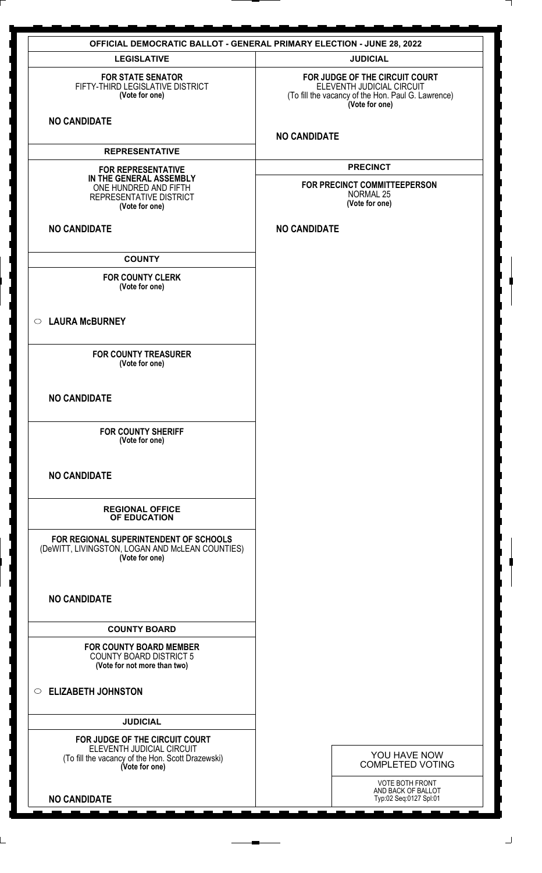| <b>OFFICIAL DEMOCRATIC BALLOT - GENERAL PRIMARY ELECTION - JUNE 28, 2022</b>                                                       |                                                                                                                                     |  |
|------------------------------------------------------------------------------------------------------------------------------------|-------------------------------------------------------------------------------------------------------------------------------------|--|
| <b>LEGISLATIVE</b>                                                                                                                 | <b>JUDICIAL</b>                                                                                                                     |  |
| <b>FOR STATE SENATOR</b><br>FIFTY-THIRD LEGISLATIVE DISTRICT<br>(Vote for one)                                                     | FOR JUDGE OF THE CIRCUIT COURT<br>ELEVENTH JUDICIAL CIRCUIT<br>(To fill the vacancy of the Hon. Paul G. Lawrence)<br>(Vote for one) |  |
| <b>NO CANDIDATE</b>                                                                                                                | <b>NO CANDIDATE</b>                                                                                                                 |  |
| <b>REPRESENTATIVE</b>                                                                                                              |                                                                                                                                     |  |
| <b>FOR REPRESENTATIVE</b>                                                                                                          | <b>PRECINCT</b>                                                                                                                     |  |
| IN THE GENERAL ASSEMBLY<br>ONE HUNDRED AND FIFTH<br>REPRESENTATIVE DISTRICT<br>(Vote for one)                                      | FOR PRECINCT COMMITTEEPERSON<br><b>NORMAL 25</b><br>(Vote for one)                                                                  |  |
| <b>NO CANDIDATE</b>                                                                                                                | <b>NO CANDIDATE</b>                                                                                                                 |  |
| <b>COUNTY</b>                                                                                                                      |                                                                                                                                     |  |
| <b>FOR COUNTY CLERK</b><br>(Vote for one)                                                                                          |                                                                                                                                     |  |
| $\circ$ LAURA McBURNEY                                                                                                             |                                                                                                                                     |  |
| <b>FOR COUNTY TREASURER</b><br>(Vote for one)                                                                                      |                                                                                                                                     |  |
| <b>NO CANDIDATE</b>                                                                                                                |                                                                                                                                     |  |
| <b>FOR COUNTY SHERIFF</b><br>(Vote for one)                                                                                        |                                                                                                                                     |  |
| <b>NO CANDIDATE</b>                                                                                                                |                                                                                                                                     |  |
| <b>REGIONAL OFFICE</b><br>OF EDUCATION                                                                                             |                                                                                                                                     |  |
| FOR REGIONAL SUPERINTENDENT OF SCHOOLS<br>(DeWITT, LIVINGSTON, LOGAN AND McLEAN COUNTIES)<br>(Vote for one)                        |                                                                                                                                     |  |
| <b>NO CANDIDATE</b>                                                                                                                |                                                                                                                                     |  |
| <b>COUNTY BOARD</b>                                                                                                                |                                                                                                                                     |  |
| <b>FOR COUNTY BOARD MEMBER</b><br><b>COUNTY BOARD DISTRICT 5</b><br>(Vote for not more than two)                                   |                                                                                                                                     |  |
| C ELIZABETH JOHNSTON                                                                                                               |                                                                                                                                     |  |
| <b>JUDICIAL</b>                                                                                                                    |                                                                                                                                     |  |
| FOR JUDGE OF THE CIRCUIT COURT<br>ELEVENTH JUDICIAL CIRCUIT<br>(To fill the vacancy of the Hon. Scott Drazewski)<br>(Vote for one) | YOU HAVE NOW<br><b>COMPLETED VOTING</b>                                                                                             |  |
| <b>NO CANDIDATE</b>                                                                                                                | <b>VOTE BOTH FRONT</b><br>AND BACK OF BALLOT<br>Typ:02 Seq:0127 Spl:01                                                              |  |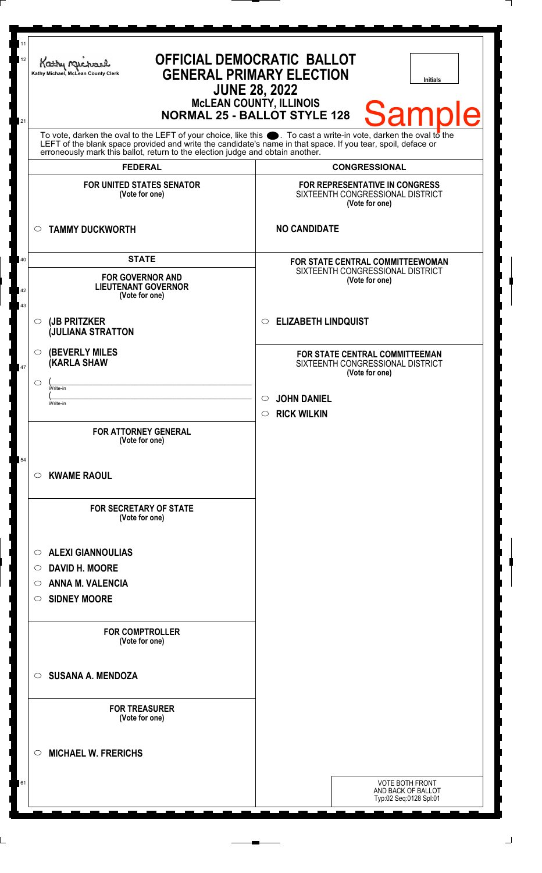| 11<br>12       | <b>OFFICIAL DEMOCRATIC BALLOT</b><br>Kathy My<br><b>GENERAL PRIMARY ELECTION</b><br>Kathy Michael, McLean County Clerk<br><b>Initials</b><br><b>JUNE 28, 2022</b><br><b>MCLEAN COUNTY, ILLINOIS</b>                                                                                          |                                                                                             |  |
|----------------|----------------------------------------------------------------------------------------------------------------------------------------------------------------------------------------------------------------------------------------------------------------------------------------------|---------------------------------------------------------------------------------------------|--|
| 21             | <b>Sample</b><br><b>NORMAL 25 - BALLOT STYLE 128</b><br>To vote, darken the oval to the LEFT of your choice, like this $\bullet$ . To cast a write-in vote, darken the oval to the LEFT of the blank space provided and write the candidate's name in that space. If you tear, spoil, deface |                                                                                             |  |
|                | erroneously mark this ballot, return to the election judge and obtain another.                                                                                                                                                                                                               |                                                                                             |  |
|                | <b>FEDERAL</b>                                                                                                                                                                                                                                                                               | <b>CONGRESSIONAL</b>                                                                        |  |
|                | <b>FOR UNITED STATES SENATOR</b><br>(Vote for one)                                                                                                                                                                                                                                           | FOR REPRESENTATIVE IN CONGRESS<br>SIXTEENTH CONGRESSIONAL DISTRICT<br>(Vote for one)        |  |
|                | <b>TAMMY DUCKWORTH</b><br>$\circ$                                                                                                                                                                                                                                                            | <b>NO CANDIDATE</b>                                                                         |  |
| 40<br>42<br>43 | <b>STATE</b><br><b>FOR GOVERNOR AND</b><br><b>LIEUTENANT GOVERNOR</b><br>(Vote for one)                                                                                                                                                                                                      | FOR STATE CENTRAL COMMITTEEWOMAN<br>SIXTEENTH CONGRESSIONAL DISTRICT<br>(Vote for one)      |  |
|                | (JB PRITZKER<br>$\circ$<br><b>JULIANA STRATTON</b>                                                                                                                                                                                                                                           | <b>ELIZABETH LINDQUIST</b><br>$\circ$                                                       |  |
| 47             | <b>(BEVERLY MILES)</b><br>$\circ$<br><b>KARLA SHAW</b>                                                                                                                                                                                                                                       | <b>FOR STATE CENTRAL COMMITTEEMAN</b><br>SIXTEENTH CONGRESSIONAL DISTRICT<br>(Vote for one) |  |
|                | C<br>Write-in                                                                                                                                                                                                                                                                                |                                                                                             |  |
|                | Write-in                                                                                                                                                                                                                                                                                     | <b>JOHN DANIEL</b><br><b>RICK WILKIN</b><br>$\circ$                                         |  |
|                | <b>FOR ATTORNEY GENERAL</b><br>(Vote for one)                                                                                                                                                                                                                                                |                                                                                             |  |
| 54             | <b>KWAME RAOUL</b><br>$\circ$                                                                                                                                                                                                                                                                |                                                                                             |  |
|                | <b>FOR SECRETARY OF STATE</b><br>(Vote for one)                                                                                                                                                                                                                                              |                                                                                             |  |
|                | <b>ALEXI GIANNOULIAS</b><br>$\circ$                                                                                                                                                                                                                                                          |                                                                                             |  |
|                | <b>DAVID H. MOORE</b><br>$\circ$                                                                                                                                                                                                                                                             |                                                                                             |  |
|                | <b>ANNA M. VALENCIA</b><br>$\circ$                                                                                                                                                                                                                                                           |                                                                                             |  |
|                | <b>SIDNEY MOORE</b><br>$\circ$                                                                                                                                                                                                                                                               |                                                                                             |  |
|                | <b>FOR COMPTROLLER</b><br>(Vote for one)                                                                                                                                                                                                                                                     |                                                                                             |  |
|                | <b>SUSANA A. MENDOZA</b><br>$\circ$                                                                                                                                                                                                                                                          |                                                                                             |  |
|                | <b>FOR TREASURER</b><br>(Vote for one)                                                                                                                                                                                                                                                       |                                                                                             |  |
|                | <b>MICHAEL W. FRERICHS</b><br>$\circ$                                                                                                                                                                                                                                                        |                                                                                             |  |
| 61             |                                                                                                                                                                                                                                                                                              | <b>VOTE BOTH FRONT</b><br>AND BACK OF BALLOT<br>Typ:02 Seq:0128 Spl:01                      |  |
|                |                                                                                                                                                                                                                                                                                              |                                                                                             |  |